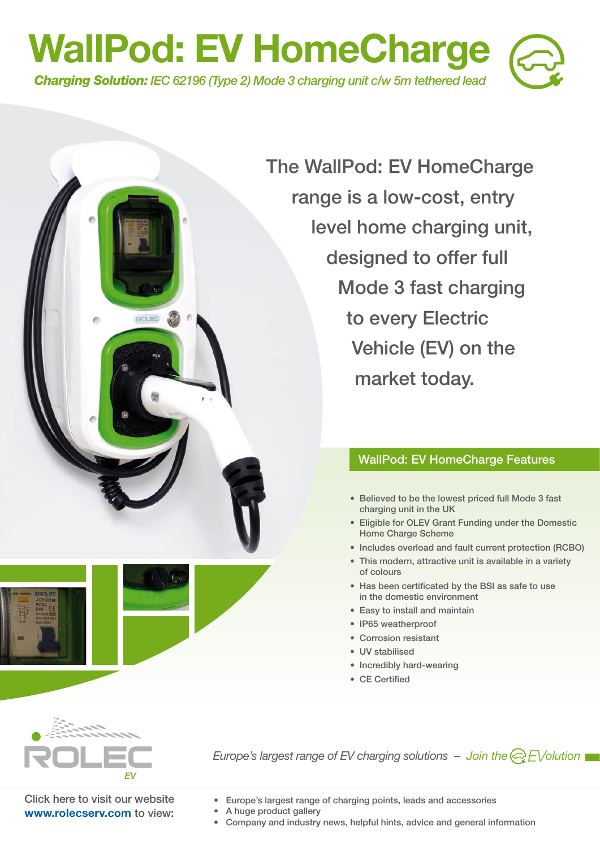

**The WallPod: EV HomeCharge range is a low-cost, entry level home charging unit, designed to offer full Mode 3 fast charging to every Electric Vehicle (EV) on the market today.**

## **WallPod: EV HomeCharge Features**

- **Believed to be the lowest priced full Mode 3 fast charging unit in the UK**
- **Eligible for OLEV Grant Funding under the Domestic Home Charge Scheme**
- **Includes overload and fault current protection (RCBO)**
- **This modern, attractive unit is available in a variety of colours**
- **Has been certificated by the BSI as safe to use in the domestic environment**
- **Easy to install and maintain**
- **IP65 weatherproof**
- **Corrosion resistant**
- **UV stabilised**
- **Incredibly hard-wearing**
- **CE Certified**



*Europe's largest range of EV charging solutions – Join the*  $\bigotimes$  *EV olution* 

**Click here to visit our website www.rolecserv.com to view:** 

**• Europe's largest range of charging points, leads and accessories** 

- **A huge product gallery**
- **Company and industry news, helpful hints, advice and general information**